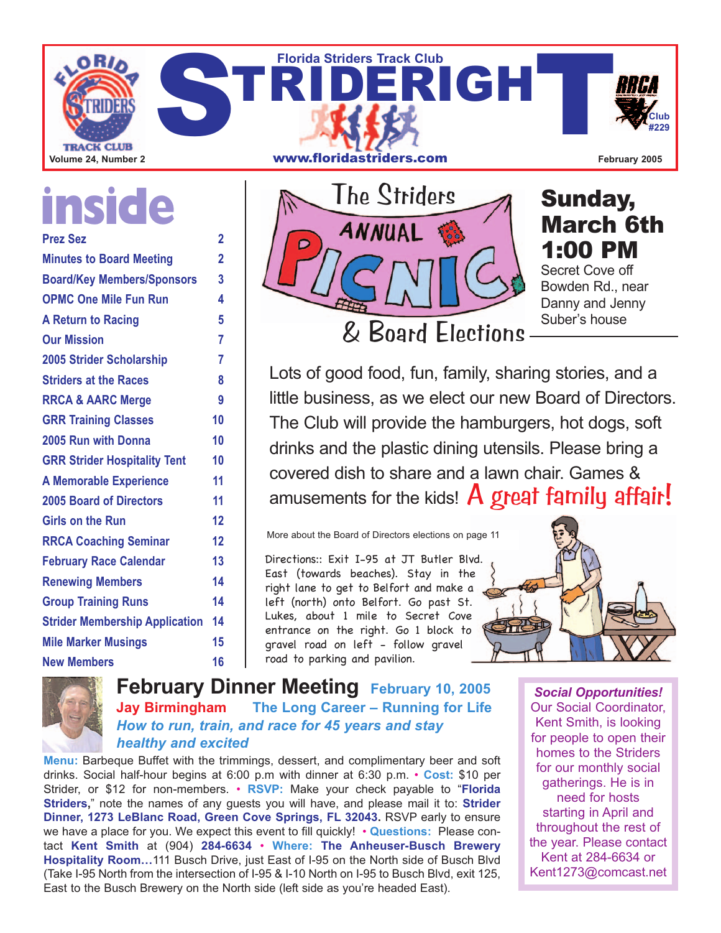

# **inside**

| <b>Prez Sez</b>                       | $\overline{2}$ |
|---------------------------------------|----------------|
| <b>Minutes to Board Meeting</b>       | $\overline{2}$ |
| <b>Board/Key Members/Sponsors</b>     | 3              |
| <b>OPMC One Mile Fun Run</b>          | 4              |
| <b>A Return to Racing</b>             | 5              |
| <b>Our Mission</b>                    | 7              |
| <b>2005 Strider Scholarship</b>       | 7              |
| <b>Striders at the Races</b>          | 8              |
| <b>RRCA &amp; AARC Merge</b>          | 9              |
| <b>GRR Training Classes</b>           | 10             |
| 2005 Run with Donna                   | 10             |
| <b>GRR Strider Hospitality Tent</b>   | 10             |
| <b>A Memorable Experience</b>         | 11             |
| <b>2005 Board of Directors</b>        | 11             |
| <b>Girls on the Run</b>               | 12             |
| <b>RRCA Coaching Seminar</b>          | 12             |
| <b>February Race Calendar</b>         | 13             |
| <b>Renewing Members</b>               | 14             |
| <b>Group Training Runs</b>            | 14             |
| <b>Strider Membership Application</b> | 14             |
| <b>Mile Marker Musings</b>            | 15             |
| <b>New Members</b>                    | 16             |
|                                       |                |



### Sunday, March 6th 1:00 PM

Secret Cove off Bowden Rd., near Danny and Jenny Suber's house

Lots of good food, fun, family, sharing stories, and a little business, as we elect our new Board of Directors. The Club will provide the hamburgers, hot dogs, soft drinks and the plastic dining utensils. Please bring a covered dish to share and a lawn chair. Games & amusements for the kids!  $A$  great family affair!

More about the Board of Directors elections on page 11

Directions:: Exit I-95 at JT Butler Blvd. East (towards beaches). Stay in the right lane to get to Belfort and make a left (north) onto Belfort. Go past St. Lukes, about 1 mile to Secret Cove entrance on the right. Go 1 block to gravel road on left - follow gravel road to parking and pavilion.





**February Dinner Meeting February 10, 2005 Jay Birmingham The Long Career – Running for Life** *How to run, train, and race for 45 years and stay healthy and excited*

**Menu:** Barbeque Buffet with the trimmings, dessert, and complimentary beer and soft drinks. Social half-hour begins at 6:00 p.m with dinner at 6:30 p.m. • **Cost:** \$10 per Strider, or \$12 for non-members. • **RSVP:** Make your check payable to "**Florida Striders,**" note the names of any guests you will have, and please mail it to: **Strider Dinner, 1273 LeBlanc Road, Green Cove Springs, FL 32043.** RSVP early to ensure we have a place for you. We expect this event to fill quickly! • **Questions:** Please contact **Kent Smith** at (904) **284-6634** • **Where: The Anheuser-Busch Brewery Hospitality Room…**111 Busch Drive, just East of I-95 on the North side of Busch Blvd (Take I-95 North from the intersection of I-95 & I-10 North on I-95 to Busch Blvd, exit 125, East to the Busch Brewery on the North side (left side as you're headed East).

*Social Opportunities!* Our Social Coordinator, Kent Smith, is looking for people to open their homes to the Striders for our monthly social gatherings. He is in need for hosts starting in April and throughout the rest of the year. Please contact Kent at 284-6634 or Kent1273@comcast.net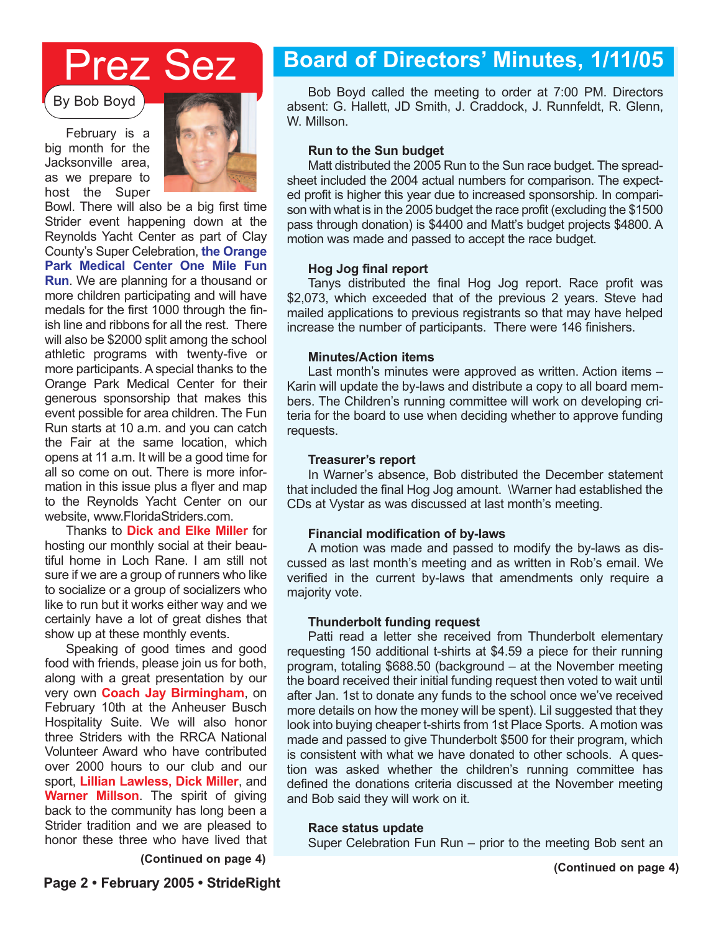## Prez Sez

By Bob Boyd

February is a big month for the Jacksonville area, as we prepare to host the Super



Bowl. There will also be a big first time Strider event happening down at the Reynolds Yacht Center as part of Clay County's Super Celebration, **the Orange Park Medical Center One Mile Fun Run**. We are planning for a thousand or more children participating and will have medals for the first 1000 through the finish line and ribbons for all the rest. There will also be \$2000 split among the school athletic programs with twenty-five or more participants. A special thanks to the Orange Park Medical Center for their generous sponsorship that makes this event possible for area children. The Fun Run starts at 10 a.m. and you can catch the Fair at the same location, which opens at 11 a.m. It will be a good time for all so come on out. There is more information in this issue plus a flyer and map to the Reynolds Yacht Center on our website, www.FloridaStriders.com.

Thanks to **Dick and Elke Miller** for hosting our monthly social at their beautiful home in Loch Rane. I am still not sure if we are a group of runners who like to socialize or a group of socializers who like to run but it works either way and we certainly have a lot of great dishes that show up at these monthly events.

Speaking of good times and good food with friends, please join us for both, along with a great presentation by our very own **Coach Jay Birmingham**, on February 10th at the Anheuser Busch Hospitality Suite. We will also honor three Striders with the RRCA National Volunteer Award who have contributed over 2000 hours to our club and our sport, **Lillian Lawless, Dick Miller**, and **Warner Millson**. The spirit of giving back to the community has long been a Strider tradition and we are pleased to honor these three who have lived that

**(Continued on page 4)**

### **Board of Directors' Minutes, 1/11/05**

Bob Boyd called the meeting to order at 7:00 PM. Directors absent: G. Hallett, JD Smith, J. Craddock, J. Runnfeldt, R. Glenn, W. Millson.

#### **Run to the Sun budget**

Matt distributed the 2005 Run to the Sun race budget. The spreadsheet included the 2004 actual numbers for comparison. The expected profit is higher this year due to increased sponsorship. In comparison with what is in the 2005 budget the race profit (excluding the \$1500 pass through donation) is \$4400 and Matt's budget projects \$4800. A motion was made and passed to accept the race budget.

#### **Hog Jog final report**

Tanys distributed the final Hog Jog report. Race profit was \$2,073, which exceeded that of the previous 2 years. Steve had mailed applications to previous registrants so that may have helped increase the number of participants. There were 146 finishers.

#### **Minutes/Action items**

Last month's minutes were approved as written. Action items – Karin will update the by-laws and distribute a copy to all board members. The Children's running committee will work on developing criteria for the board to use when deciding whether to approve funding requests.

#### **Treasurer's report**

In Warner's absence, Bob distributed the December statement that included the final Hog Jog amount. \Warner had established the CDs at Vystar as was discussed at last month's meeting.

### **Financial modification of by-laws**

A motion was made and passed to modify the by-laws as discussed as last month's meeting and as written in Rob's email. We verified in the current by-laws that amendments only require a majority vote.

### **Thunderbolt funding request**

Patti read a letter she received from Thunderbolt elementary requesting 150 additional t-shirts at \$4.59 a piece for their running program, totaling \$688.50 (background – at the November meeting the board received their initial funding request then voted to wait until after Jan. 1st to donate any funds to the school once we've received more details on how the money will be spent). Lil suggested that they look into buying cheaper t-shirts from 1st Place Sports. A motion was made and passed to give Thunderbolt \$500 for their program, which is consistent with what we have donated to other schools. A question was asked whether the children's running committee has defined the donations criteria discussed at the November meeting and Bob said they will work on it.

#### **Race status update**

Super Celebration Fun Run – prior to the meeting Bob sent an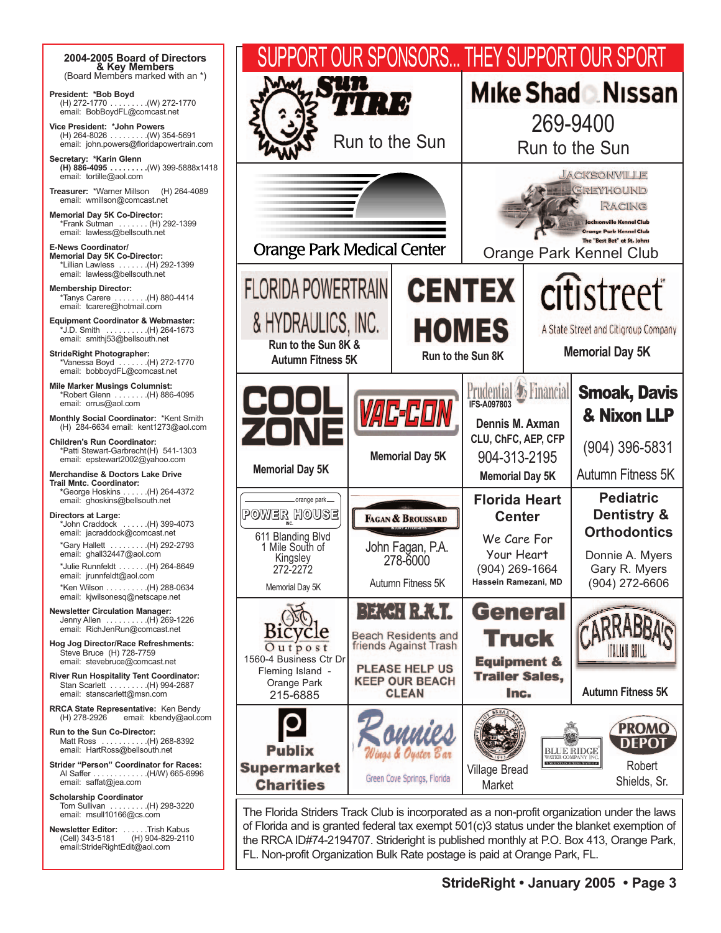**2004-2005 Board of Directors & Key Members** (Board Members marked with an \*) **President: \*Bob Boyd** (H) 272-1770 . . . . . . . . .(W) 272-1770 email: BobBoydFL@comcast.net **Vice President: \*John Powers** (H) 264-8026 . . . . . . . . .(W) 354-5691 email: john.powers@floridapowertrain.com **Secretary: \*Karin Glenn (H) 886-4095 . . . . . . . . .**(W) 399-5888x1418 email: tortille@aol.com **Treasurer:** \*Warner Millson (H) 264-4089 email: wmillson@comcast.net **Memorial Day 5K Co-Director:** \*Frank Sutman . . . . . . . (H) 292-1399 email: lawless@bellsouth.net **E-News Coordinator/ Memorial Day 5K Co-Director:** \*Lillian Lawless . . . . . . .(H) 292-1399 email: lawless@bellsouth.net **Membership Director:** \*Tanys Carere . . . . . . . .(H) 880-4414 email: tcarere@hotmail.com **Equipment Coordinator & Webmaster:** \*J.D. Smith . . . . . . . . . .(H) 264-1673 email: smithj53@bellsouth.net **StrideRight Photographer:** \*Vanessa Boyd . . . . . . .(H) 272-1770 email: bobboydFL@comcast.net **Mile Marker Musings Columnist:** \*Robert Glenn . . . . . . . .(H) 886-4095 email: orrus@aol.com **Monthly Social Coordinator:** \*Kent Smith (H) 284-6634 email: kent1273@aol.com **Children's Run Coordinator:**  \*Patti Stewart-Garbrecht(H) 541-1303 email: epstewart2002@yahoo.com **Merchandise & Doctors Lake Drive Trail Mntc. Coordinator: \***George Hoskins . . . . . .(H) 264-4372 email: ghoskins@bellsouth.net **Directors at Large:** \*John Craddock . . . . . .(H) 399-4073 email: jacraddock@comcast.net \*Gary Hallett . . . . . . . . .(H) 292-2793 email: ghall32447@aol.com \*Julie Runnfeldt . . . . . . .(H) 264-8649 email: jrunnfeldt@aol.com \*Ken Wilson . . . . . . . . . .(H) 288-0634 email: kjwilsonesq@netscape.net **Newsletter Circulation Manager:** Jenny Allen . . . . . . . . . .(H) 269-1226 email: RichJenRun@comcast.net **Hog Jog Director/Race Refreshments:**  Steve Bruce (H) 728-7759 email: stevebruce@comcast.net **River Run Hospitality Tent Coordinator:** Stan Scarlett . . . . . . . . .(H) 994-2687 email: stanscarlett@msn.com **RRCA State Representative:** Ken Bendy (H) 278-2926 email: kbendy@aol.com **Run to the Sun Co-Director:** Matt Ross . . . . . . . . . . .(H) 268-8392 email: HartRoss@bellsouth.net **Strider "Person" Coordinator for Races:** Al Saffer . . . . . . . . . . . . .(H/W) 665-6996 email: saffat@jea.com **Scholarship Coordinator** Tom Sullivan . . . . . . . . .(H) 298-3220 email: msull10166@cs.com **Newsletter Editor:** . . . . . . .Trish Kabus<br>(Cell) 343-5181 (H) 904-829-2110<br>email:StrideRightEdit@aol.com



The Florida Striders Track Club is incorporated as a non-profit organization under the laws of Florida and is granted federal tax exempt 501(c)3 status under the blanket exemption of the RRCA ID#74-2194707. Strideright is published monthly at P.O. Box 413, Orange Park, FL. Non-profit Organization Bulk Rate postage is paid at Orange Park, FL.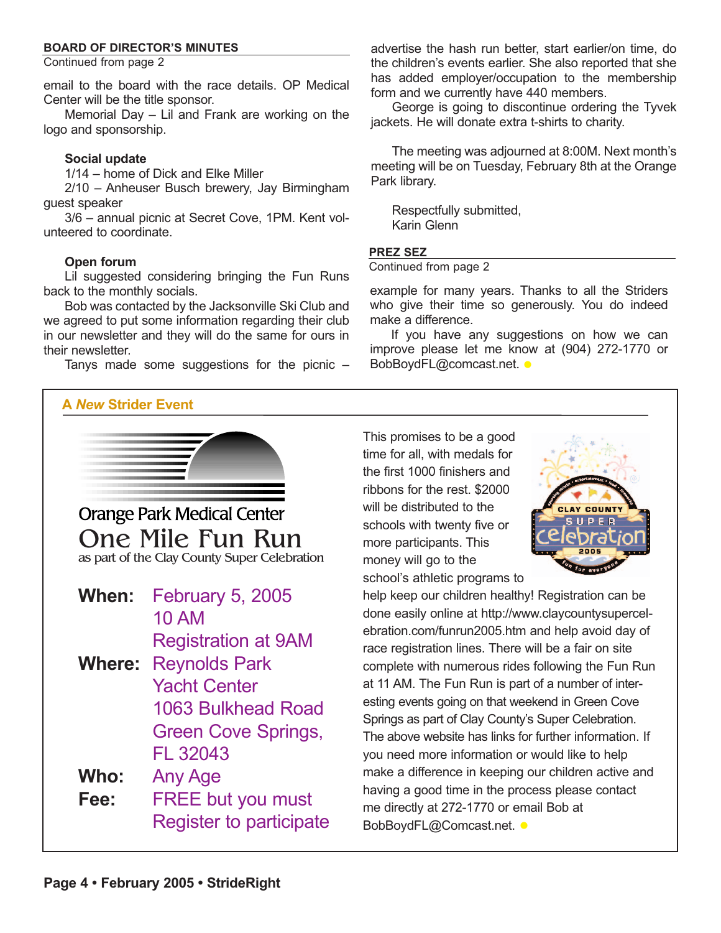### **BOARD OF DIRECTOR'S MINUTES**

Continued from page 2

email to the board with the race details. OP Medical Center will be the title sponsor.

Memorial Day – Lil and Frank are working on the logo and sponsorship.

#### **Social update**

1/14 – home of Dick and Elke Miller

2/10 – Anheuser Busch brewery, Jay Birmingham guest speaker

3/6 – annual picnic at Secret Cove, 1PM. Kent volunteered to coordinate.

### **Open forum**

Lil suggested considering bringing the Fun Runs back to the monthly socials.

Bob was contacted by the Jacksonville Ski Club and we agreed to put some information regarding their club in our newsletter and they will do the same for ours in their newsletter.

Tanys made some suggestions for the picnic  $-$ 

### **A** *New* **Strider Event**

advertise the hash run better, start earlier/on time, do the children's events earlier. She also reported that she has added employer/occupation to the membership form and we currently have 440 members.

George is going to discontinue ordering the Tyvek jackets. He will donate extra t-shirts to charity.

The meeting was adjourned at 8:00M. Next month's meeting will be on Tuesday, February 8th at the Orange Park library.

Respectfully submitted, Karin Glenn

#### **PREZ SEZ**

Continued from page 2

example for many years. Thanks to all the Striders who give their time so generously. You do indeed make a difference.

If you have any suggestions on how we can improve please let me know at (904) 272-1770 or BobBoydFL@comcast.net. •



This promises to be a good time for all, with medals for the first 1000 finishers and ribbons for the rest. \$2000 will be distributed to the schools with twenty five or more participants. This money will go to the school's athletic programs to



help keep our children healthy! Registration can be done easily online at http://www.claycountysupercelebration.com/funrun2005.htm and help avoid day of race registration lines. There will be a fair on site complete with numerous rides following the Fun Run at 11 AM. The Fun Run is part of a number of interesting events going on that weekend in Green Cove Springs as part of Clay County's Super Celebration. The above website has links for further information. If you need more information or would like to help make a difference in keeping our children active and having a good time in the process please contact me directly at 272-1770 or email Bob at BobBoydFL@Comcast.net. •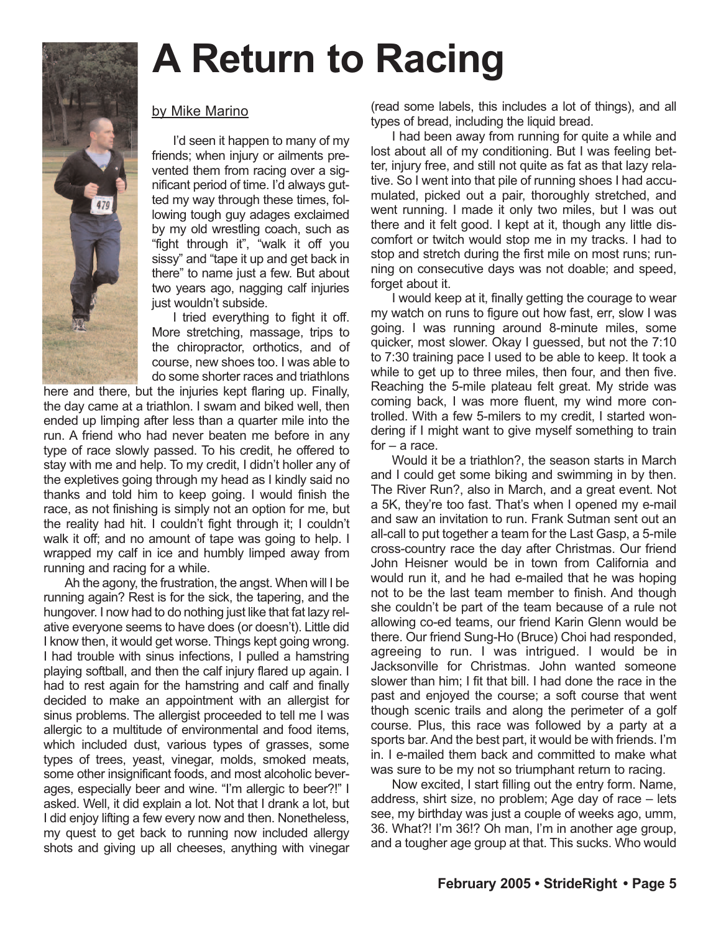

# **A Return to Racing**

### by Mike Marino

I'd seen it happen to many of my friends; when injury or ailments prevented them from racing over a significant period of time. I'd always gutted my way through these times, following tough guy adages exclaimed by my old wrestling coach, such as "fight through it", "walk it off you sissy" and "tape it up and get back in there" to name just a few. But about two years ago, nagging calf injuries just wouldn't subside.

I tried everything to fight it off. More stretching, massage, trips to the chiropractor, orthotics, and of course, new shoes too. I was able to do some shorter races and triathlons

here and there, but the injuries kept flaring up. Finally, the day came at a triathlon. I swam and biked well, then ended up limping after less than a quarter mile into the run. A friend who had never beaten me before in any type of race slowly passed. To his credit, he offered to stay with me and help. To my credit, I didn't holler any of the expletives going through my head as I kindly said no thanks and told him to keep going. I would finish the race, as not finishing is simply not an option for me, but the reality had hit. I couldn't fight through it; I couldn't walk it off; and no amount of tape was going to help. I wrapped my calf in ice and humbly limped away from running and racing for a while.

Ah the agony, the frustration, the angst. When will I be running again? Rest is for the sick, the tapering, and the hungover. I now had to do nothing just like that fat lazy relative everyone seems to have does (or doesn't). Little did I know then, it would get worse. Things kept going wrong. I had trouble with sinus infections, I pulled a hamstring playing softball, and then the calf injury flared up again. I had to rest again for the hamstring and calf and finally decided to make an appointment with an allergist for sinus problems. The allergist proceeded to tell me I was allergic to a multitude of environmental and food items, which included dust, various types of grasses, some types of trees, yeast, vinegar, molds, smoked meats, some other insignificant foods, and most alcoholic beverages, especially beer and wine. "I'm allergic to beer?!" I asked. Well, it did explain a lot. Not that I drank a lot, but I did enjoy lifting a few every now and then. Nonetheless, my quest to get back to running now included allergy shots and giving up all cheeses, anything with vinegar

(read some labels, this includes a lot of things), and all types of bread, including the liquid bread.

I had been away from running for quite a while and lost about all of my conditioning. But I was feeling better, injury free, and still not quite as fat as that lazy relative. So I went into that pile of running shoes I had accumulated, picked out a pair, thoroughly stretched, and went running. I made it only two miles, but I was out there and it felt good. I kept at it, though any little discomfort or twitch would stop me in my tracks. I had to stop and stretch during the first mile on most runs; running on consecutive days was not doable; and speed, forget about it.

I would keep at it, finally getting the courage to wear my watch on runs to figure out how fast, err, slow I was going. I was running around 8-minute miles, some quicker, most slower. Okay I guessed, but not the 7:10 to 7:30 training pace I used to be able to keep. It took a while to get up to three miles, then four, and then five. Reaching the 5-mile plateau felt great. My stride was coming back, I was more fluent, my wind more controlled. With a few 5-milers to my credit, I started wondering if I might want to give myself something to train for – a race.

Would it be a triathlon?, the season starts in March and I could get some biking and swimming in by then. The River Run?, also in March, and a great event. Not a 5K, they're too fast. That's when I opened my e-mail and saw an invitation to run. Frank Sutman sent out an all-call to put together a team for the Last Gasp, a 5-mile cross-country race the day after Christmas. Our friend John Heisner would be in town from California and would run it, and he had e-mailed that he was hoping not to be the last team member to finish. And though she couldn't be part of the team because of a rule not allowing co-ed teams, our friend Karin Glenn would be there. Our friend Sung-Ho (Bruce) Choi had responded, agreeing to run. I was intrigued. I would be in Jacksonville for Christmas. John wanted someone slower than him; I fit that bill. I had done the race in the past and enjoyed the course; a soft course that went though scenic trails and along the perimeter of a golf course. Plus, this race was followed by a party at a sports bar. And the best part, it would be with friends. I'm in. I e-mailed them back and committed to make what was sure to be my not so triumphant return to racing.

Now excited, I start filling out the entry form. Name, address, shirt size, no problem; Age day of race – lets see, my birthday was just a couple of weeks ago, umm, 36. What?! I'm 36!? Oh man, I'm in another age group, and a tougher age group at that. This sucks. Who would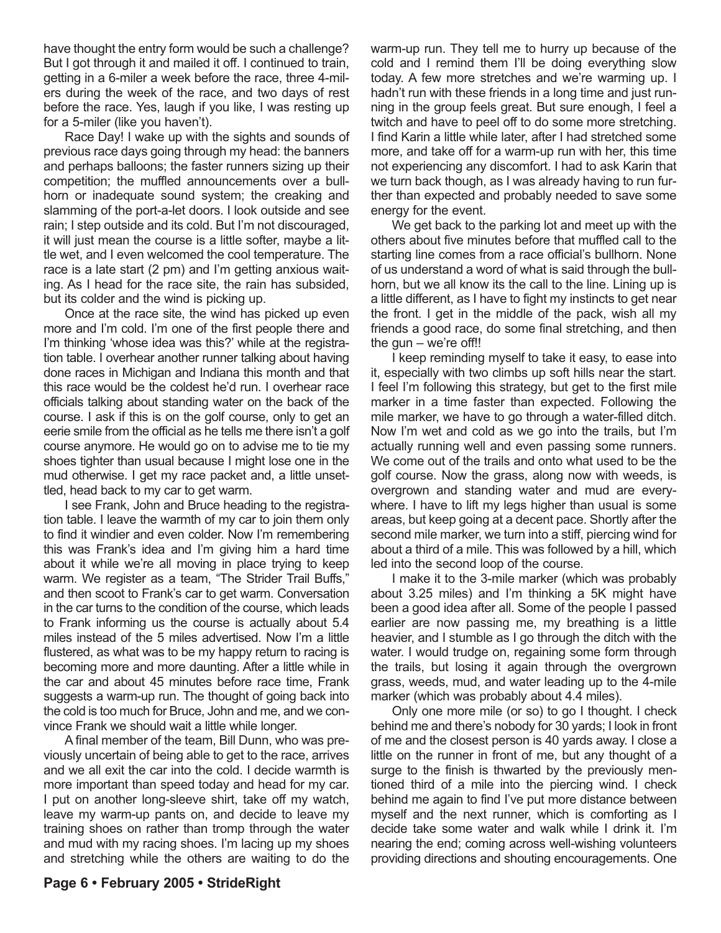have thought the entry form would be such a challenge? But I got through it and mailed it off. I continued to train, getting in a 6-miler a week before the race, three 4-milers during the week of the race, and two days of rest before the race. Yes, laugh if you like, I was resting up for a 5-miler (like you haven't).

Race Day! I wake up with the sights and sounds of previous race days going through my head: the banners and perhaps balloons; the faster runners sizing up their competition; the muffled announcements over a bullhorn or inadequate sound system; the creaking and slamming of the port-a-let doors. I look outside and see rain; I step outside and its cold. But I'm not discouraged, it will just mean the course is a little softer, maybe a little wet, and I even welcomed the cool temperature. The race is a late start (2 pm) and I'm getting anxious waiting. As I head for the race site, the rain has subsided, but its colder and the wind is picking up.

Once at the race site, the wind has picked up even more and I'm cold. I'm one of the first people there and I'm thinking 'whose idea was this?' while at the registration table. I overhear another runner talking about having done races in Michigan and Indiana this month and that this race would be the coldest he'd run. I overhear race officials talking about standing water on the back of the course. I ask if this is on the golf course, only to get an eerie smile from the official as he tells me there isn't a golf course anymore. He would go on to advise me to tie my shoes tighter than usual because I might lose one in the mud otherwise. I get my race packet and, a little unsettled, head back to my car to get warm.

I see Frank, John and Bruce heading to the registration table. I leave the warmth of my car to join them only to find it windier and even colder. Now I'm remembering this was Frank's idea and I'm giving him a hard time about it while we're all moving in place trying to keep warm. We register as a team, "The Strider Trail Buffs," and then scoot to Frank's car to get warm. Conversation in the car turns to the condition of the course, which leads to Frank informing us the course is actually about 5.4 miles instead of the 5 miles advertised. Now I'm a little flustered, as what was to be my happy return to racing is becoming more and more daunting. After a little while in the car and about 45 minutes before race time, Frank suggests a warm-up run. The thought of going back into the cold is too much for Bruce, John and me, and we convince Frank we should wait a little while longer.

A final member of the team, Bill Dunn, who was previously uncertain of being able to get to the race, arrives and we all exit the car into the cold. I decide warmth is more important than speed today and head for my car. I put on another long-sleeve shirt, take off my watch, leave my warm-up pants on, and decide to leave my training shoes on rather than tromp through the water and mud with my racing shoes. I'm lacing up my shoes and stretching while the others are waiting to do the

warm-up run. They tell me to hurry up because of the cold and I remind them I'll be doing everything slow today. A few more stretches and we're warming up. I hadn't run with these friends in a long time and just running in the group feels great. But sure enough, I feel a twitch and have to peel off to do some more stretching. I find Karin a little while later, after I had stretched some more, and take off for a warm-up run with her, this time not experiencing any discomfort. I had to ask Karin that we turn back though, as I was already having to run further than expected and probably needed to save some energy for the event.

We get back to the parking lot and meet up with the others about five minutes before that muffled call to the starting line comes from a race official's bullhorn. None of us understand a word of what is said through the bullhorn, but we all know its the call to the line. Lining up is a little different, as I have to fight my instincts to get near the front. I get in the middle of the pack, wish all my friends a good race, do some final stretching, and then the gun – we're off!!

I keep reminding myself to take it easy, to ease into it, especially with two climbs up soft hills near the start. I feel I'm following this strategy, but get to the first mile marker in a time faster than expected. Following the mile marker, we have to go through a water-filled ditch. Now I'm wet and cold as we go into the trails, but I'm actually running well and even passing some runners. We come out of the trails and onto what used to be the golf course. Now the grass, along now with weeds, is overgrown and standing water and mud are everywhere. I have to lift my legs higher than usual is some areas, but keep going at a decent pace. Shortly after the second mile marker, we turn into a stiff, piercing wind for about a third of a mile. This was followed by a hill, which led into the second loop of the course.

I make it to the 3-mile marker (which was probably about 3.25 miles) and I'm thinking a 5K might have been a good idea after all. Some of the people I passed earlier are now passing me, my breathing is a little heavier, and I stumble as I go through the ditch with the water. I would trudge on, regaining some form through the trails, but losing it again through the overgrown grass, weeds, mud, and water leading up to the 4-mile marker (which was probably about 4.4 miles).

Only one more mile (or so) to go I thought. I check behind me and there's nobody for 30 yards; I look in front of me and the closest person is 40 yards away. I close a little on the runner in front of me, but any thought of a surge to the finish is thwarted by the previously mentioned third of a mile into the piercing wind. I check behind me again to find I've put more distance between myself and the next runner, which is comforting as I decide take some water and walk while I drink it. I'm nearing the end; coming across well-wishing volunteers providing directions and shouting encouragements. One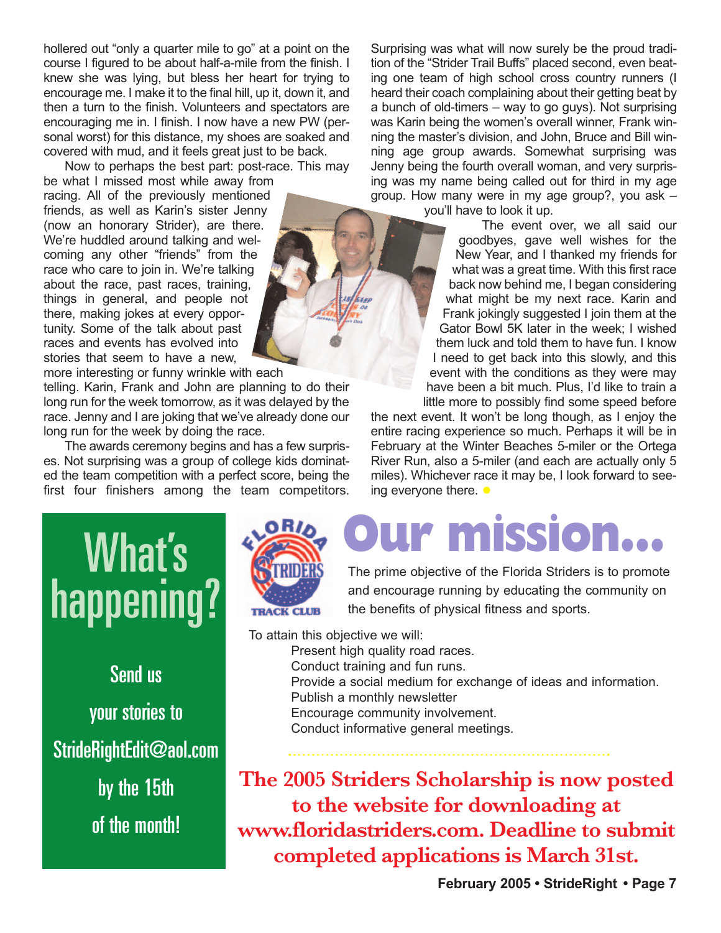hollered out "only a quarter mile to go" at a point on the course I figured to be about half-a-mile from the finish. I knew she was lying, but bless her heart for trying to encourage me. I make it to the final hill, up it, down it, and then a turn to the finish. Volunteers and spectators are encouraging me in. I finish. I now have a new PW (personal worst) for this distance, my shoes are soaked and covered with mud, and it feels great just to be back.

Now to perhaps the best part: post-race. This may

be what I missed most while away from racing. All of the previously mentioned friends, as well as Karin's sister Jenny (now an honorary Strider), are there. We're huddled around talking and welcoming any other "friends" from the race who care to join in. We're talking about the race, past races, training, things in general, and people not there, making jokes at every opportunity. Some of the talk about past races and events has evolved into stories that seem to have a new,

more interesting or funny wrinkle with each

telling. Karin, Frank and John are planning to do their long run for the week tomorrow, as it was delayed by the race. Jenny and I are joking that we've already done our long run for the week by doing the race.

The awards ceremony begins and has a few surprises. Not surprising was a group of college kids dominated the team competition with a perfect score, being the first four finishers among the team competitors.

Surprising was what will now surely be the proud tradition of the "Strider Trail Buffs" placed second, even beating one team of high school cross country runners (I heard their coach complaining about their getting beat by a bunch of old-timers – way to go guys). Not surprising was Karin being the women's overall winner, Frank winning the master's division, and John, Bruce and Bill winning age group awards. Somewhat surprising was Jenny being the fourth overall woman, and very surprising was my name being called out for third in my age group. How many were in my age group?, you ask –

you'll have to look it up.

The event over, we all said our goodbyes, gave well wishes for the New Year, and I thanked my friends for what was a great time. With this first race back now behind me, I began considering what might be my next race. Karin and Frank jokingly suggested I join them at the Gator Bowl 5K later in the week; I wished them luck and told them to have fun. I know I need to get back into this slowly, and this event with the conditions as they were may have been a bit much. Plus, I'd like to train a little more to possibly find some speed before

the next event. It won't be long though, as I enjoy the entire racing experience so much. Perhaps it will be in February at the Winter Beaches 5-miler or the Ortega River Run, also a 5-miler (and each are actually only 5 miles). Whichever race it may be, I look forward to seeing everyone there.  $\bullet$ 

# What's happening?

Send us your stories to StrideRightEdit@aol.com by the 15th of the month!



# **Our mission...**

The prime objective of the Florida Striders is to promote and encourage running by educating the community on the benefits of physical fitness and sports.

To attain this objective we will: Present high quality road races. Conduct training and fun runs. Provide a social medium for exchange of ideas and information. Publish a monthly newsletter Encourage community involvement. Conduct informative general meetings.

**The 2005 Striders Scholarship is now posted to the website for downloading at www.floridastriders.com. Deadline to submit completed applications is March 31st.**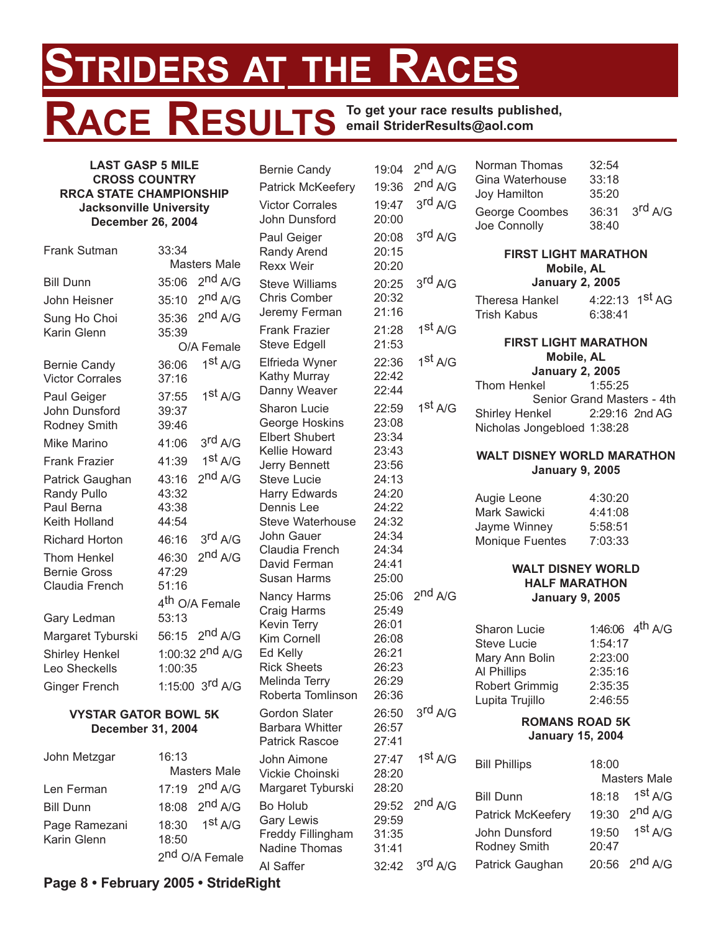## **STRIDERS AT THE RACES RACE RESULTS To get your race results published, email StriderResults@aol.com**

### **LAST GASP 5 MILE CROSS COUNTRY RRCA STATE CHAMPIONSHIP Jacksonville University December 26, 2004**

| Frank Sutman           | 33:34   |                              |
|------------------------|---------|------------------------------|
|                        |         | Masters Male                 |
| <b>Bill Dunn</b>       | 35:06   | 2 <sup>nd</sup> A/G          |
| John Heisner           | 35:10   | 2 <sup>nd</sup> A/G          |
| Sung Ho Choi           | 35:36   | 2 <sup>nd</sup> A/G          |
| Karin Glenn            | 35:39   |                              |
|                        |         | O/A Female                   |
| <b>Bernie Candy</b>    | 36:06   | $1^{\text{st}}$ A/G          |
| <b>Victor Corrales</b> | 37:16   |                              |
| Paul Geiger            | 37:55   | 1 <sup>st</sup> A/G          |
| John Dunsford          | 39:37   |                              |
| Rodney Smith           | 39:46   |                              |
| Mike Marino            | 41:06   | 3rd A/G                      |
| <b>Frank Frazier</b>   | 41:39   | 1 <sup>st</sup> A/G          |
| Patrick Gaughan        | 43:16   | 2 <sup>nd</sup> A/G          |
| <b>Randy Pullo</b>     | 43:32   |                              |
| Paul Berna             | 43:38   |                              |
| Keith Holland          | 44:54   |                              |
| <b>Richard Horton</b>  | 46:16   | 3 <sup>rd</sup> A/G          |
| Thom Henkel            | 46:30   | 2 <sup>nd</sup> A/G          |
| <b>Bernie Gross</b>    | 47:29   |                              |
| Claudia French         | 51:16   |                              |
|                        |         | 4 <sup>th</sup> O/A Female   |
| Gary Ledman            | 53:13   |                              |
| Margaret Tyburski      | 56:15   | $2^{nd}$ A/G                 |
| <b>Shirley Henkel</b>  |         | 1:00:32  2 <sup>nd</sup> A/G |
| Leo Sheckells          | 1:00:35 |                              |
| <b>Ginger French</b>   |         | 1:15:00 3 <sup>rd</sup> A/G  |
|                        |         |                              |

### **VYSTAR GATOR BOWL 5K December 31, 2004**

| John Metzgar     | 16:13 |                            |
|------------------|-------|----------------------------|
|                  |       | <b>Masters Male</b>        |
| Len Ferman       |       | 17:19 $2^{nd}$ A/G         |
| <b>Bill Dunn</b> |       | 18:08 $2^{nd}$ A/G         |
| Page Ramezani    |       | 18:30 $1^{st}$ A/G         |
| Karin Glenn      | 18:50 |                            |
|                  |       | 2 <sup>nd</sup> O/A Female |

Bernie Candy 19:04 Patrick McKeefery 19:36 Victor Corrales 19:47 John Dunsford 20:00 Paul Geiger 20:08 Randy Arend 20:15 Rexx Weir 20:20 Steve Williams 20:25 Chris Comber 20:32 Jeremy Ferman 21:16 Frank Frazier 21:28 Steve Edgell 21:53 Elfrieda Wyner 22:36 Kathy Murray 22:42 Danny Weaver 22:44 Sharon Lucie 22:59 George Hoskins 23:08 Elbert Shubert 23:34 Kellie Howard 23:43 Jerry Bennett 23:56 Steve Lucie 24:13 Harry Edwards 24:20 Dennis Lee 24:22 Steve Waterhouse 24:32 John Gauer 24:34 Claudia French 24:34 David Ferman 24:41 Susan Harms 25:00 Nancy Harms 25:06 Craig Harms 25:49 Kevin Terry 26:01 Kim Cornell 26:08 Ed Kelly 26:21 Rick Sheets 26:23 Melinda Terry 26:29 Roberta Tomlinson 26:36 Gordon Slater 26:50 Barbara Whitter 26:57 Patrick Rascoe 27:41 John Aimone 27:47 Vickie Choinski 28:20 Margaret Tyburski 28:20  $Bo$  Holub  $29:52$ Gary Lewis 29:59 Freddy Fillingham 31:35 Nadine Thomas 31:41 Al Saffer 32:42

| 2 <sup>nd</sup> A/G | Norman Thomas<br>Gina Waterhouse              | 32:54<br>33:18     |                     |  |  |
|---------------------|-----------------------------------------------|--------------------|---------------------|--|--|
| $2^{nd}$ A/G        | Joy Hamilton                                  | 35:20              |                     |  |  |
| 3 <sup>rd</sup> A/G | George Coombes                                | 36:31              | 3 <sup>rd</sup> A/G |  |  |
| 3 <sup>rd</sup> A/G | Joe Connolly                                  | 38:40              |                     |  |  |
|                     | <b>FIRST LIGHT MARATHON</b>                   |                    |                     |  |  |
|                     | <b>Mobile, AL</b>                             |                    |                     |  |  |
| 3rd A/G             | <b>January 2, 2005</b>                        | 4:22:13            | 1 <sup>st</sup> AG  |  |  |
|                     | Theresa Hankel<br><b>Trish Kabus</b>          | 6:38:41            |                     |  |  |
| 1 <sup>st</sup> A/G |                                               |                    |                     |  |  |
|                     | <b>FIRST LIGHT MARATHON</b>                   |                    |                     |  |  |
| 1 <sup>st</sup> A/G | Mobile, AL<br><b>January 2, 2005</b>          |                    |                     |  |  |
|                     | <b>Thom Henkel</b>                            | 1:55:25            |                     |  |  |
| 1 <sup>st</sup> A/G | Senior Grand Masters - 4th                    |                    |                     |  |  |
|                     | Shirley Henkel<br>Nicholas Jongebloed 1:38:28 |                    | 2:29:16 2nd AG      |  |  |
|                     |                                               |                    |                     |  |  |
|                     | <b>WALT DISNEY WORLD MARATHON</b>             |                    |                     |  |  |
|                     | <b>January 9, 2005</b>                        |                    |                     |  |  |
|                     | Augie Leone                                   | 4:30:20            |                     |  |  |
|                     | Mark Sawicki                                  | 4:41:08<br>5:58:51 |                     |  |  |
|                     | Jayme Winney<br><b>Monique Fuentes</b>        | 7:03:33            |                     |  |  |
|                     | <b>WALT DISNEY WORLD</b>                      |                    |                     |  |  |
|                     | <b>HALF MARATHON</b>                          |                    |                     |  |  |
| 2 <sup>nd</sup> A/G | <b>January 9, 2005</b>                        |                    |                     |  |  |
|                     | <b>Sharon Lucie</b>                           | 1:46:06            | 4 <sup>th</sup> A/G |  |  |
|                     | <b>Steve Lucie</b>                            | 1:54:17            |                     |  |  |
|                     | Mary Ann Bolin                                | 2:23:00            |                     |  |  |
|                     | Al Phillips<br>Robert Grimmig                 | 2:35:16<br>2:35:35 |                     |  |  |
|                     | Lupita Trujillo                               | 2:46:55            |                     |  |  |
| 3rd A/G             | <b>ROMANS ROAD 5K</b>                         |                    |                     |  |  |
|                     | <b>January 15, 2004</b>                       |                    |                     |  |  |
| 1 <sup>st</sup> A/G | <b>Bill Phillips</b>                          | 18:00              |                     |  |  |
|                     |                                               |                    | <b>Masters Male</b> |  |  |
| 2 <sup>nd</sup> A/G | <b>Bill Dunn</b>                              | 18:18              | 1 <sup>st</sup> A/G |  |  |
|                     | Patrick McKeefery                             | 19:30              | 2 <sup>nd</sup> A/G |  |  |
|                     | John Dunsford                                 | 19:50              | 1 <sup>st</sup> A/G |  |  |
|                     | <b>Rodney Smith</b>                           | 20:47              |                     |  |  |
| 3rd A/G             | Patrick Gaughan                               | 20:56              | 2 <sup>nd</sup> A/G |  |  |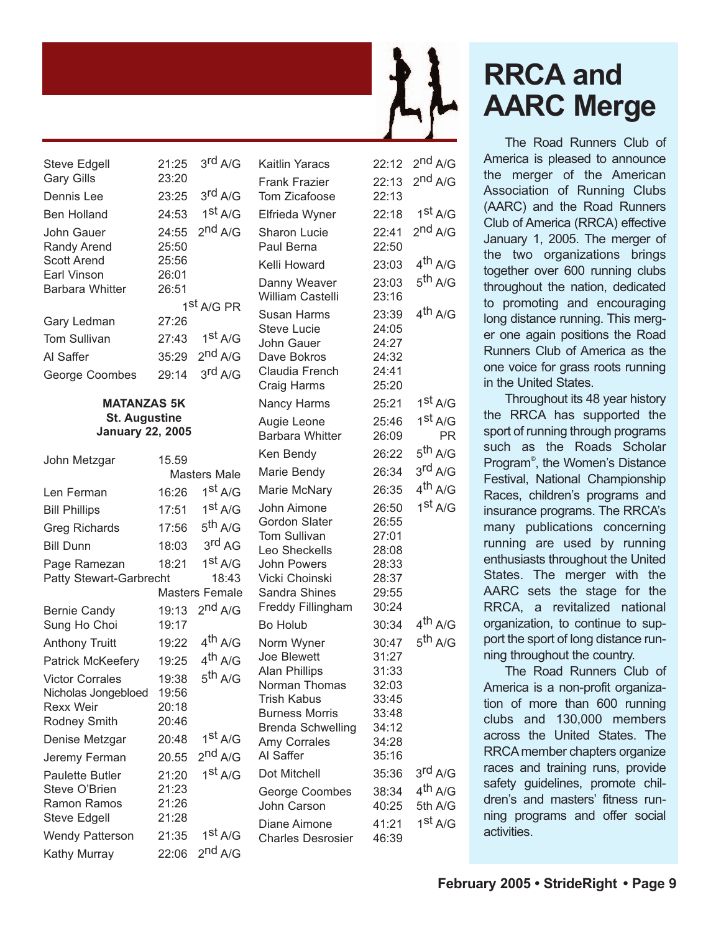| Steve Edgell           | 21:25 | 3 <sup>rd</sup> A/G    |
|------------------------|-------|------------------------|
| <b>Gary Gills</b>      | 23:20 |                        |
| Dennis Lee             | 23:25 | 3 <sup>rd</sup> A/G    |
| Ben Holland            | 24:53 | 1 <sup>st</sup> A/G    |
| John Gauer             | 24:55 | 2 <sup>nd</sup> A/G    |
| <b>Randy Arend</b>     | 25:50 |                        |
| <b>Scott Arend</b>     | 25:56 |                        |
| Earl Vinson            | 26:01 |                        |
| <b>Barbara Whitter</b> | 26:51 |                        |
|                        |       | 1 <sup>st</sup> A/G PR |
| Gary Ledman            | 27:26 |                        |
| <b>Tom Sullivan</b>    | 27:43 | 1 <sup>st</sup> A/G    |
| Al Saffer              | 35:29 | $2^{nd}$ A/G           |
| George Coombes         | 29:14 | 3 <sup>rd</sup> A/G    |

#### **MATANZAS 5K St. Augustine January 22, 2005**

| John Metzgar             | 15.59 |                     |
|--------------------------|-------|---------------------|
|                          |       | Masters Male        |
| Len Ferman               | 16:26 | 1 <sup>st</sup> A/G |
| <b>Bill Phillips</b>     | 17:51 | 1 <sup>st</sup> A/G |
| <b>Greg Richards</b>     | 17:56 | 5 <sup>th</sup> A/G |
| <b>Bill Dunn</b>         | 18:03 | 3 <sup>rd</sup> AG  |
| Page Ramezan             | 18:21 | 1 <sup>st</sup> A/G |
| Patty Stewart-Garbrecht  |       | 18:43               |
|                          |       | Masters Female      |
| <b>Bernie Candy</b>      | 19:13 | 2 <sup>nd</sup> A/G |
| Sung Ho Choi             | 19:17 |                     |
| <b>Anthony Truitt</b>    | 19:22 | 4 <sup>th</sup> A/G |
| <b>Patrick McKeefery</b> | 19:25 | 4 <sup>th</sup> A/G |
| <b>Victor Corrales</b>   | 19:38 | 5 <sup>th</sup> A/G |
| Nicholas Jongebloed      | 19:56 |                     |
| <b>Rexx Weir</b>         | 20:18 |                     |
| <b>Rodney Smith</b>      | 20:46 |                     |
| Denise Metzgar           | 20:48 | 1 <sup>st</sup> A/G |
| Jeremy Ferman            | 20.55 | 2 <sup>nd</sup> A/G |
| <b>Paulette Butler</b>   | 21:20 | 1 <sup>st</sup> A/G |
| Steve O'Brien            | 21:23 |                     |
| <b>Ramon Ramos</b>       | 21:26 |                     |
| <b>Steve Edgell</b>      | 21:28 |                     |
| <b>Wendy Patterson</b>   | 21:35 | 1 <sup>st</sup> A/G |
| Kathy Murray             | 22:06 | 2 <sup>nd</sup> A/G |

Kaitlin Yaracs 22:12 2<sup>nd</sup> A/G Frank Frazier 22:13 2nd A/G Tom Zicafoose 22:13 Elfrieda Wyner 22:18 1<sup>st</sup> A/G Sharon Lucie 22:41 2<sup>nd</sup> A/G Paul Berna 22:50 Kelli Howard 23:03 4<sup>th</sup> A/G Danny Weaver 23:03 5<sup>th</sup> A/G William Castelli 23:16 Susan Harms  $23:39$  4<sup>th</sup> A/G Steve Lucie 24:05 John Gauer 24:27 Dave Bokros 24:32 Claudia French 24:41 Craig Harms 25:20 Nancy Harms 25:21 1st A/G Augie Leone 25:46 1st A/G Barbara Whitter 26:09 PR Ken Bendy  $26:22$  5<sup>th</sup> A/G Marie Bendy 26:34 3<sup>rd</sup> A/G Marie McNary 26:35 4<sup>th</sup> A/G John Aimone 26:50 1st A/G Gordon Slater 26:55 Tom Sullivan 27:01 Leo Sheckells 28:08 John Powers 28:33 Vicki Choinski 28:37 Sandra Shines 29:55 Freddy Fillingham 30:24 Bo Holub  $30:34$  4<sup>th</sup> A/G Norm Wyner 30:47 5<sup>th</sup> A/G Joe Blewett 31:27 Alan Phillips 31:33 Norman Thomas 32:03 Trish Kabus 33:45 Burness Morris 33:48 Brenda Schwelling 34:12 Amy Corrales 34:28 Al Saffer 35:16 Dot Mitchell 35:36 3rd A/G George Coombes 38:34 4<sup>th</sup> A/G John Carson 40:25 5th A/G Diane Aimone 41:21 1st A/G Charles Desrosier 46:39

## **RRCA and AARC Merge**

The Road Runners Club of America is pleased to announce the merger of the American Association of Running Clubs (AARC) and the Road Runners Club of America (RRCA) effective January 1, 2005. The merger of the two organizations brings together over 600 running clubs throughout the nation, dedicated to promoting and encouraging long distance running. This merger one again positions the Road Runners Club of America as the one voice for grass roots running in the United States.

Throughout its 48 year history the RRCA has supported the sport of running through programs such as the Roads Scholar Program© , the Women's Distance Festival, National Championship Races, children's programs and insurance programs. The RRCA's many publications concerning running are used by running enthusiasts throughout the United States. The merger with the AARC sets the stage for the RRCA, a revitalized national organization, to continue to support the sport of long distance running throughout the country.

The Road Runners Club of America is a non-profit organization of more than 600 running clubs and 130,000 members across the United States. The RRCA member chapters organize races and training runs, provide safety guidelines, promote children's and masters' fitness running programs and offer social activities.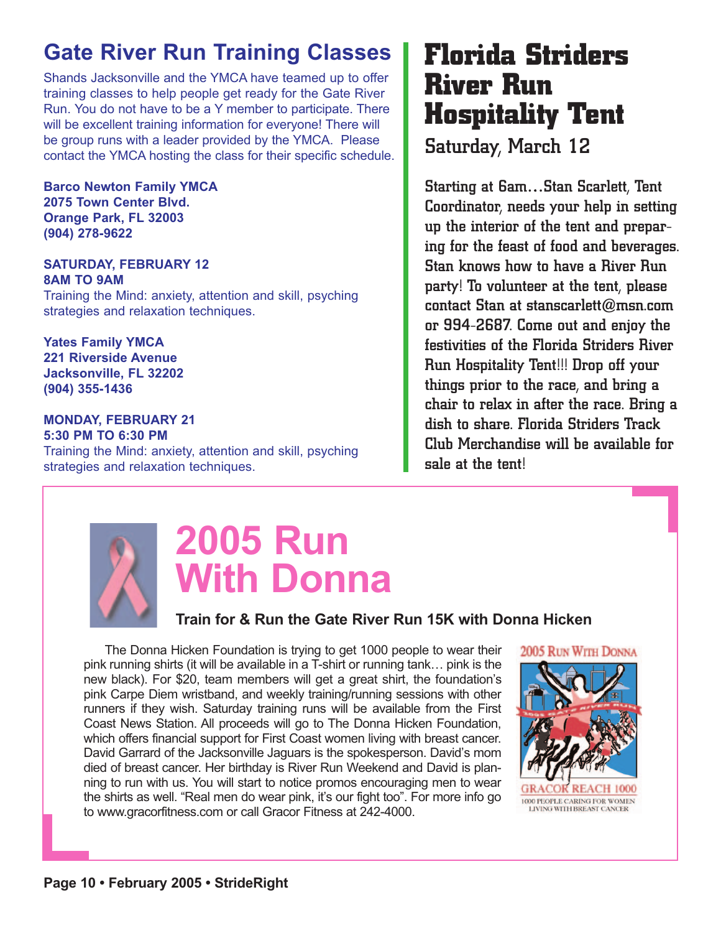### **Gate River Run Training Classes**

Shands Jacksonville and the YMCA have teamed up to offer training classes to help people get ready for the Gate River Run. You do not have to be a Y member to participate. There will be excellent training information for everyone! There will be group runs with a leader provided by the YMCA. Please contact the YMCA hosting the class for their specific schedule.

**Barco Newton Family YMCA 2075 Town Center Blvd. Orange Park, FL 32003 (904) 278-9622**

### **SATURDAY, FEBRUARY 12 8AM TO 9AM**

Training the Mind: anxiety, attention and skill, psyching strategies and relaxation techniques.

**Yates Family YMCA 221 Riverside Avenue Jacksonville, FL 32202 (904) 355-1436**

#### **MONDAY, FEBRUARY 21 5:30 PM TO 6:30 PM**

Training the Mind: anxiety, attention and skill, psyching strategies and relaxation techniques.

### **Florida Striders River Run Hospitality Tent**

Saturday, March 12

Starting at 6am…Stan Scarlett, Tent Coordinator, needs your help in setting up the interior of the tent and preparing for the feast of food and beverages. Stan knows how to have a River Run party! To volunteer at the tent, please contact Stan at stanscarlett $@$ msn.com or 994-2687. Come out and enjoy the festivities of the Florida Striders River Run Hospitality Tent!!! Drop off your things prior to the race, and bring a chair to relax in after the race. Bring a dish to share. Florida Striders Track Club Merchandise will be available for sale at the tent!



# **2005 Run With Donna**

### **Train for & Run the Gate River Run 15K with Donna Hicken**

The Donna Hicken Foundation is trying to get 1000 people to wear their pink running shirts (it will be available in a T-shirt or running tank… pink is the new black). For \$20, team members will get a great shirt, the foundation's pink Carpe Diem wristband, and weekly training/running sessions with other runners if they wish. Saturday training runs will be available from the First Coast News Station. All proceeds will go to The Donna Hicken Foundation, which offers financial support for First Coast women living with breast cancer. David Garrard of the Jacksonville Jaguars is the spokesperson. David's mom died of breast cancer. Her birthday is River Run Weekend and David is planning to run with us. You will start to notice promos encouraging men to wear the shirts as well. "Real men do wear pink, it's our fight too". For more info go to www.gracorfitness.com or call Gracor Fitness at 242-4000.

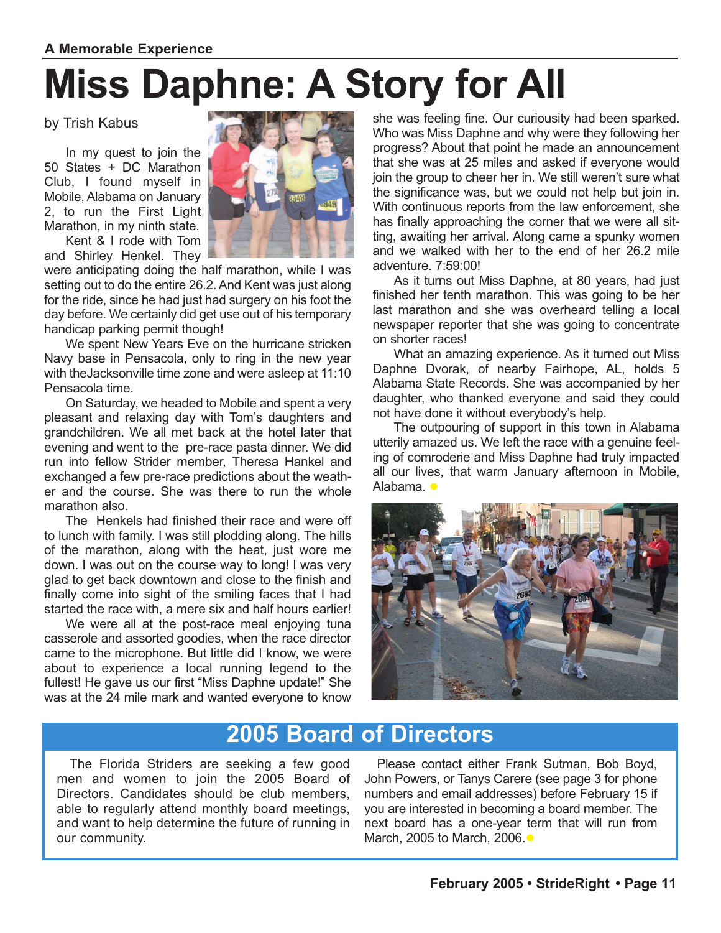### **A Memorable Experience**

# **Miss Daphne: A Story for All**

### by Trish Kabus

In my quest to join the 50 States + DC Marathon Club, I found myself in Mobile, Alabama on January 2, to run the First Light Marathon, in my ninth state.

Kent & I rode with Tom and Shirley Henkel. They

were anticipating doing the half marathon, while I was setting out to do the entire 26.2. And Kent was just along for the ride, since he had just had surgery on his foot the day before. We certainly did get use out of his temporary handicap parking permit though!

We spent New Years Eve on the hurricane stricken Navy base in Pensacola, only to ring in the new year with theJacksonville time zone and were asleep at 11:10 Pensacola time.

On Saturday, we headed to Mobile and spent a very pleasant and relaxing day with Tom's daughters and grandchildren. We all met back at the hotel later that evening and went to the pre-race pasta dinner. We did run into fellow Strider member, Theresa Hankel and exchanged a few pre-race predictions about the weather and the course. She was there to run the whole marathon also.

The Henkels had finished their race and were off to lunch with family. I was still plodding along. The hills of the marathon, along with the heat, just wore me down. I was out on the course way to long! I was very glad to get back downtown and close to the finish and finally come into sight of the smiling faces that I had started the race with, a mere six and half hours earlier!

We were all at the post-race meal enjoying tuna casserole and assorted goodies, when the race director came to the microphone. But little did I know, we were about to experience a local running legend to the fullest! He gave us our first "Miss Daphne update!" She was at the 24 mile mark and wanted everyone to know she was feeling fine. Our curiousity had been sparked. Who was Miss Daphne and why were they following her progress? About that point he made an announcement that she was at 25 miles and asked if everyone would join the group to cheer her in. We still weren't sure what the significance was, but we could not help but join in. With continuous reports from the law enforcement, she has finally approaching the corner that we were all sitting, awaiting her arrival. Along came a spunky women and we walked with her to the end of her 26.2 mile adventure. 7:59:00!

As it turns out Miss Daphne, at 80 years, had just finished her tenth marathon. This was going to be her last marathon and she was overheard telling a local newspaper reporter that she was going to concentrate on shorter races!

What an amazing experience. As it turned out Miss Daphne Dvorak, of nearby Fairhope, AL, holds 5 Alabama State Records. She was accompanied by her daughter, who thanked everyone and said they could not have done it without everybody's help.

The outpouring of support in this town in Alabama utterily amazed us. We left the race with a genuine feeling of comroderie and Miss Daphne had truly impacted all our lives, that warm January afternoon in Mobile, Alabama. •



### **2005 Board of Directors**

The Florida Striders are seeking a few good men and women to join the 2005 Board of Directors. Candidates should be club members, able to regularly attend monthly board meetings, and want to help determine the future of running in our community.

Please contact either Frank Sutman, Bob Boyd, John Powers, or Tanys Carere (see page 3 for phone numbers and email addresses) before February 15 if you are interested in becoming a board member. The next board has a one-year term that will run from March, 2005 to March, 2006. ●

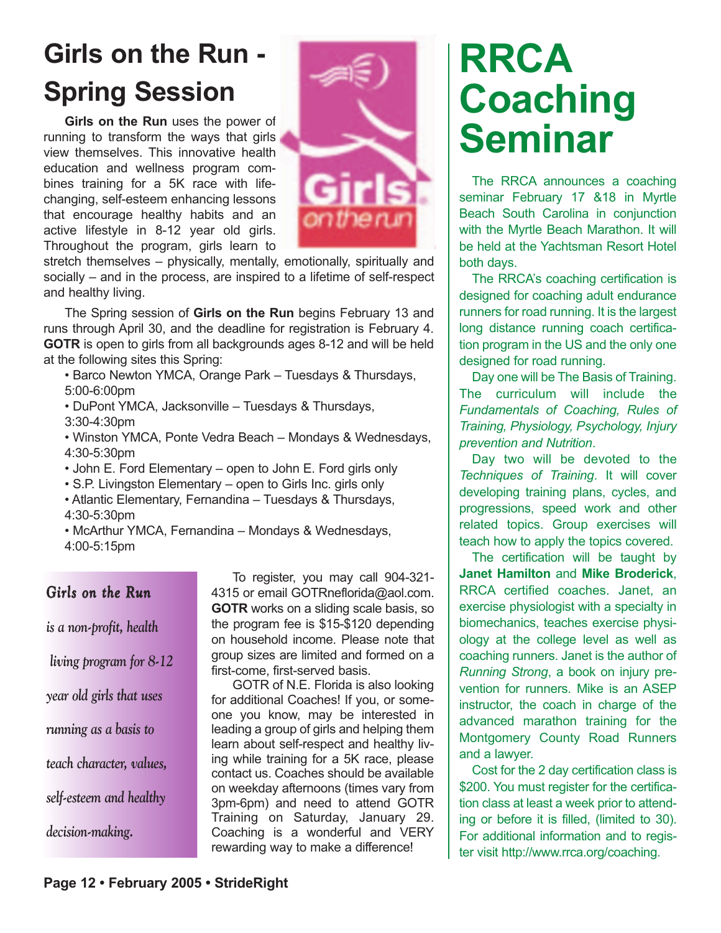## **Girls on the Run - Spring Session**

**Girls on the Run** uses the power of running to transform the ways that girls view themselves. This innovative health education and wellness program combines training for a 5K race with lifechanging, self-esteem enhancing lessons that encourage healthy habits and an active lifestyle in 8-12 year old girls. Throughout the program, girls learn to



stretch themselves – physically, mentally, emotionally, spiritually and socially – and in the process, are inspired to a lifetime of self-respect and healthy living.

The Spring session of **Girls on the Run** begins February 13 and runs through April 30, and the deadline for registration is February 4. **GOTR** is open to girls from all backgrounds ages 8-12 and will be held at the following sites this Spring:

• Barco Newton YMCA, Orange Park – Tuesdays & Thursdays, 5:00-6:00pm

• DuPont YMCA, Jacksonville – Tuesdays & Thursdays, 3:30-4:30pm

• Winston YMCA, Ponte Vedra Beach – Mondays & Wednesdays, 4:30-5:30pm

- John E. Ford Elementary open to John E. Ford girls only
- S.P. Livingston Elementary open to Girls Inc. girls only

• Atlantic Elementary, Fernandina – Tuesdays & Thursdays, 4:30-5:30pm

• McArthur YMCA, Fernandina – Mondays & Wednesdays, 4:00-5:15pm

### *Girls on the Run*

*is a non-profit, health living program for 8-12 year old girls that uses running as a basis to teach character, values, self-esteem and healthy decision-making.* 

To register, you may call 904-321- 4315 or email GOTRneflorida@aol.com. **GOTR** works on a sliding scale basis, so the program fee is \$15-\$120 depending on household income. Please note that group sizes are limited and formed on a first-come, first-served basis.

GOTR of N.E. Florida is also looking for additional Coaches! If you, or someone you know, may be interested in leading a group of girls and helping them learn about self-respect and healthy living while training for a 5K race, please contact us. Coaches should be available on weekday afternoons (times vary from 3pm-6pm) and need to attend GOTR Training on Saturday, January 29. Coaching is a wonderful and VERY rewarding way to make a difference!

# **RRCA Coaching Seminar**

The RRCA announces a coaching seminar February 17 &18 in Myrtle Beach South Carolina in conjunction with the Myrtle Beach Marathon. It will be held at the Yachtsman Resort Hotel both days.

The RRCA's coaching certification is designed for coaching adult endurance runners for road running. It is the largest long distance running coach certification program in the US and the only one designed for road running.

Day one will be The Basis of Training. The curriculum will include the *Fundamentals of Coaching, Rules of Training, Physiology, Psychology, Injury prevention and Nutrition*.

Day two will be devoted to the *Techniques of Training*. It will cover developing training plans, cycles, and progressions, speed work and other related topics. Group exercises will teach how to apply the topics covered.

The certification will be taught by **Janet Hamilton** and **Mike Broderick**, RRCA certified coaches. Janet, an exercise physiologist with a specialty in biomechanics, teaches exercise physiology at the college level as well as coaching runners. Janet is the author of *Running Strong*, a book on injury prevention for runners. Mike is an ASEP instructor, the coach in charge of the advanced marathon training for the Montgomery County Road Runners and a lawyer.

Cost for the 2 day certification class is \$200. You must register for the certification class at least a week prior to attending or before it is filled, (limited to 30). For additional information and to register visit http://www.rrca.org/coaching.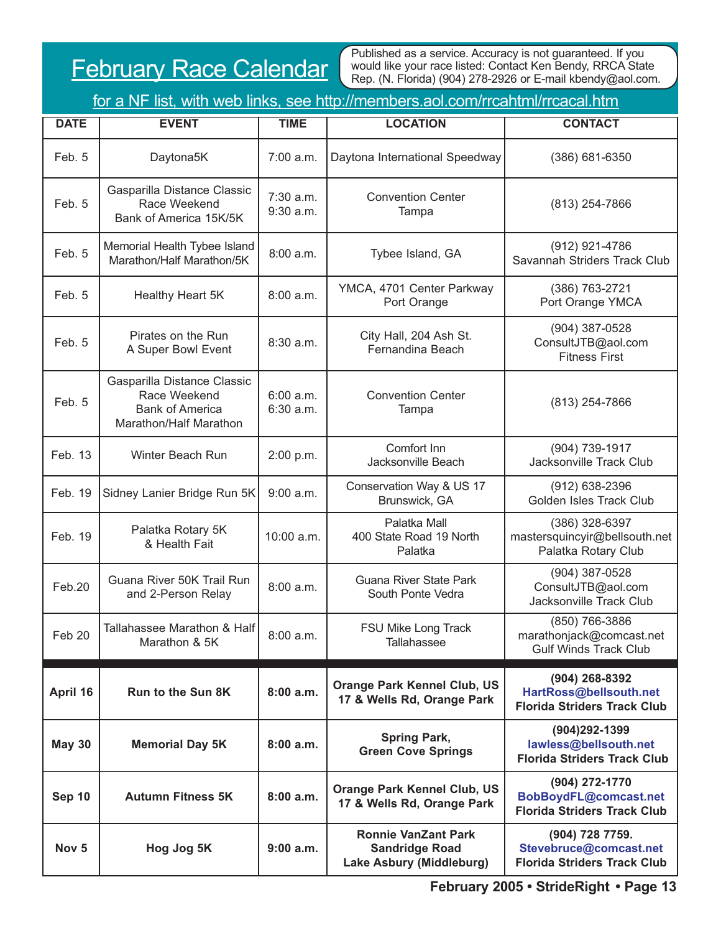### February Race Calendar

Published as a service. Accuracy is not guaranteed. If you would like your race listed: Contact Ken Bendy, RRCA State Rep. (N. Florida) (904) 278-2926 or E-mail kbendy@aol.com.

| <u>for a NF list, with web links, see http://members.aol.com/rrcahtml/rrcacal.htm</u> |                                                                                                 |                          |                                                                                 |                                                                                 |  |
|---------------------------------------------------------------------------------------|-------------------------------------------------------------------------------------------------|--------------------------|---------------------------------------------------------------------------------|---------------------------------------------------------------------------------|--|
| <b>DATE</b>                                                                           | <b>EVENT</b>                                                                                    | <b>TIME</b>              | <b>LOCATION</b>                                                                 | <b>CONTACT</b>                                                                  |  |
| Feb. 5                                                                                | Daytona5K                                                                                       | 7:00 a.m.                | Daytona International Speedway                                                  | (386) 681-6350                                                                  |  |
| Feb. 5                                                                                | Gasparilla Distance Classic<br>Race Weekend<br>Bank of America 15K/5K                           | $7:30$ a.m.<br>9:30 a.m. | <b>Convention Center</b><br>Tampa                                               | (813) 254-7866                                                                  |  |
| Feb. 5                                                                                | Memorial Health Tybee Island<br>Marathon/Half Marathon/5K                                       | 8:00a.m.                 | Tybee Island, GA                                                                | (912) 921-4786<br>Savannah Striders Track Club                                  |  |
| Feb. 5                                                                                | Healthy Heart 5K                                                                                | 8:00 a.m.                | YMCA, 4701 Center Parkway<br>Port Orange                                        | (386) 763-2721<br>Port Orange YMCA                                              |  |
| Feb. 5                                                                                | Pirates on the Run<br>A Super Bowl Event                                                        | $8:30$ a.m.              | City Hall, 204 Ash St.<br>Fernandina Beach                                      | (904) 387-0528<br>ConsultJTB@aol.com<br><b>Fitness First</b>                    |  |
| Feb. 5                                                                                | Gasparilla Distance Classic<br>Race Weekend<br><b>Bank of America</b><br>Marathon/Half Marathon | 6:00 a.m.<br>6:30 a.m.   | <b>Convention Center</b><br>Tampa                                               | (813) 254-7866                                                                  |  |
| Feb. 13                                                                               | Winter Beach Run                                                                                | 2:00 p.m.                | Comfort Inn<br>Jacksonville Beach                                               | (904) 739-1917<br>Jacksonville Track Club                                       |  |
| Feb. 19                                                                               | Sidney Lanier Bridge Run 5K                                                                     | $9:00$ a.m.              | Conservation Way & US 17<br>Brunswick, GA                                       | $(912)$ 638-2396<br>Golden Isles Track Club                                     |  |
| Feb. 19                                                                               | Palatka Rotary 5K<br>& Health Fait                                                              | 10:00 a.m.               | Palatka Mall<br>400 State Road 19 North<br>Palatka                              | (386) 328-6397<br>mastersquincyir@bellsouth.net<br>Palatka Rotary Club          |  |
| Feb.20                                                                                | Guana River 50K Trail Run<br>and 2-Person Relay                                                 | 8:00 a.m.                | <b>Guana River State Park</b><br>South Ponte Vedra                              | (904) 387-0528<br>ConsultJTB@aol.com<br>Jacksonville Track Club                 |  |
| Feb 20                                                                                | Tallahassee Marathon & Half<br>Marathon & 5K                                                    | 8:00 a.m.                | FSU Mike Long Track<br>Tallahassee                                              | (850) 766-3886<br>marathonjack@comcast.net<br><b>Gulf Winds Track Club</b>      |  |
| April 16                                                                              | Run to the Sun 8K                                                                               | 8:00a.m.                 | <b>Orange Park Kennel Club, US</b><br>17 & Wells Rd, Orange Park                | (904) 268-8392<br>HartRoss@bellsouth.net<br><b>Florida Striders Track Club</b>  |  |
| <b>May 30</b>                                                                         | <b>Memorial Day 5K</b>                                                                          | 8:00a.m.                 | <b>Spring Park,</b><br><b>Green Cove Springs</b>                                | (904)292-1399<br>lawless@bellsouth.net<br><b>Florida Striders Track Club</b>    |  |
| Sep 10                                                                                | <b>Autumn Fitness 5K</b>                                                                        | 8:00a.m.                 | <b>Orange Park Kennel Club, US</b><br>17 & Wells Rd, Orange Park                | (904) 272-1770<br>BobBoydFL@comcast.net<br><b>Florida Striders Track Club</b>   |  |
| Nov <sub>5</sub>                                                                      | Hog Jog 5K                                                                                      | $9:00$ a.m.              | <b>Ronnie VanZant Park</b><br><b>Sandridge Road</b><br>Lake Asbury (Middleburg) | (904) 728 7759.<br>Stevebruce@comcast.net<br><b>Florida Striders Track Club</b> |  |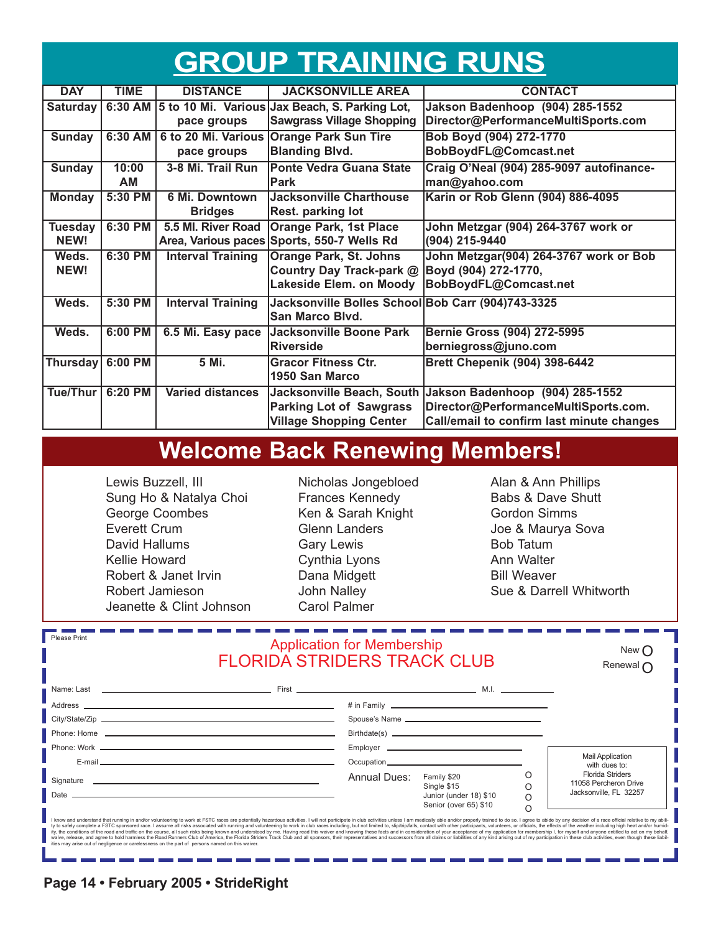### **GROUP TRAINING RUNS**

| <b>DAY</b>       | <b>TIME</b> | <b>DISTANCE</b>          | <b>JACKSONVILLE AREA</b>                          | <b>CONTACT</b>                                            |
|------------------|-------------|--------------------------|---------------------------------------------------|-----------------------------------------------------------|
| Saturday         | 6:30 AM     |                          | 5 to 10 Mi. Various Jax Beach, S. Parking Lot,    | Jakson Badenhoop (904) 285-1552                           |
|                  |             | pace groups              | <b>Sawgrass Village Shopping</b>                  | Director@PerformanceMultiSports.com                       |
| <b>Sunday</b>    | 6:30 AM     | 6 to 20 Mi. Various      | <b>Orange Park Sun Tire</b>                       | Bob Boyd (904) 272-1770                                   |
|                  |             | pace groups              | <b>Blanding Blvd.</b>                             | BobBoydFL@Comcast.net                                     |
| <b>Sunday</b>    | 10:00       | 3-8 Mi. Trail Run        | <b>Ponte Vedra Guana State</b>                    | Craig O'Neal (904) 285-9097 autofinance-                  |
|                  | AM          |                          | <b>Park</b>                                       | man@yahoo.com                                             |
| <b>Monday</b>    | 5:30 PM     | <b>6 Mi. Downtown</b>    | <b>Jacksonville Charthouse</b>                    | Karin or Rob Glenn (904) 886-4095                         |
|                  |             | <b>Bridges</b>           | Rest. parking lot                                 |                                                           |
| <b>Tuesday</b>   | 6:30 PM     | 5.5 Ml. River Road       | <b>Orange Park, 1st Place</b>                     | John Metzgar (904) 264-3767 work or                       |
| NEW!             |             |                          | Area, Various paces Sports, 550-7 Wells Rd        | (904) 215-9440                                            |
| Weds.            | 6:30 PM     | <b>Interval Training</b> | <b>Orange Park, St. Johns</b>                     | John Metzgar(904) 264-3767 work or Bob                    |
| NEW!             |             |                          | Country Day Track-park @                          | Boyd (904) 272-1770,                                      |
|                  |             |                          | <b>Lakeside Elem. on Moody</b>                    | BobBoydFL@Comcast.net                                     |
| Weds.            | 5:30 PM     | <b>Interval Training</b> | Jacksonville Bolles School Bob Carr (904)743-3325 |                                                           |
|                  |             |                          | San Marco Blvd.                                   |                                                           |
| Weds.            | $6:00$ PM   | 6.5 Mi. Easy pace        | Jacksonville Boone Park                           | Bernie Gross (904) 272-5995                               |
|                  |             |                          | <b>Riverside</b>                                  | berniegross@juno.com                                      |
| Thursday 6:00 PM |             | 5 Mi.                    | <b>Gracor Fitness Ctr.</b>                        | <b>Brett Chepenik (904) 398-6442</b>                      |
|                  |             |                          | 1950 San Marco                                    |                                                           |
| Tue/Thur         | $6:20$ PM   | <b>Varied distances</b>  |                                                   | Jacksonville Beach, South Jakson Badenhoop (904) 285-1552 |
|                  |             |                          | <b>Parking Lot of Sawgrass</b>                    | Director@PerformanceMultiSports.com.                      |
|                  |             |                          | <b>Village Shopping Center</b>                    | Call/email to confirm last minute changes                 |

### **Welcome Back Renewing Members!**

Lewis Buzzell, III Sung Ho & Natalya Choi George Coombes Everett Crum David Hallums Kellie Howard Robert & Janet Irvin Robert Jamieson Jeanette & Clint Johnson Nicholas Jongebloed Frances Kennedy Ken & Sarah Knight Glenn Landers Gary Lewis Cynthia Lyons Dana Midgett John Nalley Carol Palmer

Alan & Ann Phillips Babs & Dave Shutt Gordon Simms Joe & Maurya Sova Bob Tatum Ann Walter Bill Weaver Sue & Darrell Whitworth

| Please Print<br><b>Application for Membership</b><br><b>FLORIDA STRIDERS TRACK CLUB</b>        |                                                                                                                                                                                                                                                                                                                                                                                                                                                                                                                                                                                                                                                                                                                                                                                                                                                                                                                                     |              | New C<br>Renewal $\Gamma$                                                                                     |                    |                                                                            |
|------------------------------------------------------------------------------------------------|-------------------------------------------------------------------------------------------------------------------------------------------------------------------------------------------------------------------------------------------------------------------------------------------------------------------------------------------------------------------------------------------------------------------------------------------------------------------------------------------------------------------------------------------------------------------------------------------------------------------------------------------------------------------------------------------------------------------------------------------------------------------------------------------------------------------------------------------------------------------------------------------------------------------------------------|--------------|---------------------------------------------------------------------------------------------------------------|--------------------|----------------------------------------------------------------------------|
|                                                                                                |                                                                                                                                                                                                                                                                                                                                                                                                                                                                                                                                                                                                                                                                                                                                                                                                                                                                                                                                     |              | # in Family 2008 2009 2012 2022 2023 2024 2022 2023 2024 2022 2023 2024 2022 2023 2024 2022 2023 2024 2022 20 |                    |                                                                            |
|                                                                                                |                                                                                                                                                                                                                                                                                                                                                                                                                                                                                                                                                                                                                                                                                                                                                                                                                                                                                                                                     |              |                                                                                                               |                    |                                                                            |
|                                                                                                |                                                                                                                                                                                                                                                                                                                                                                                                                                                                                                                                                                                                                                                                                                                                                                                                                                                                                                                                     |              |                                                                                                               |                    | <b>Mail Application</b>                                                    |
|                                                                                                | E-mail entry and the contract of the contract of the contract of the contract of the contract of the contract of                                                                                                                                                                                                                                                                                                                                                                                                                                                                                                                                                                                                                                                                                                                                                                                                                    |              |                                                                                                               |                    | with dues to:                                                              |
|                                                                                                |                                                                                                                                                                                                                                                                                                                                                                                                                                                                                                                                                                                                                                                                                                                                                                                                                                                                                                                                     | Annual Dues: | Family \$20<br>Single \$15<br>Junior (under 18) \$10<br>Senior (over 65) \$10                                 | O<br>O<br>$\Omega$ | <b>Florida Striders</b><br>11058 Percheron Drive<br>Jacksonville, FL 32257 |
| ities may arise out of negligence or carelessness on the part of persons named on this waiver. | I know and understand that running in and/or volunteering to work at FSTC races are potentially hazardous activities. I will not participate in club activities unless I am medically able and/or properly trained to do so. I<br>ty to safely complete a FSTC sponsored race. I assume all risks associated with running and volunteering to work in club races including, but not limited to, slip/trip/falls, contact with other participants, volunteers, or<br>ity, the conditions of the road and traffic on the course, all such risks being known and understood by me. Having read this waiver and knowing these facts and in consideration of your acceptance of my application for memb<br>waive, release, and agree to hold harmless the Road Runners Club of America, the Florida Striders Track Club and all sponsors, their representatives and successors from all claims or liabilities of any kind arising out of |              |                                                                                                               |                    |                                                                            |

**Page 14 • February 2005 • StrideRight**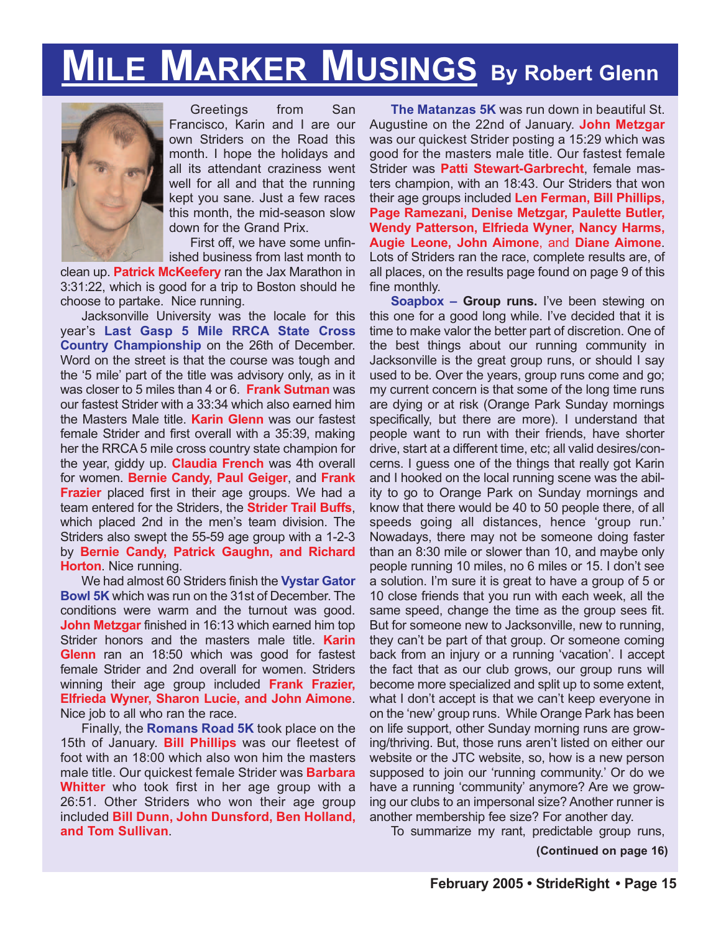# **MILE MARKER MUSINGS By Robert Glenn**



Greetings from San Francisco, Karin and I are our own Striders on the Road this month. I hope the holidays and all its attendant craziness went well for all and that the running kept you sane. Just a few races this month, the mid-season slow down for the Grand Prix.

First off, we have some unfinished business from last month to

clean up. **Patrick McKeefery** ran the Jax Marathon in 3:31:22, which is good for a trip to Boston should he choose to partake. Nice running.

Jacksonville University was the locale for this year's **Last Gasp 5 Mile RRCA State Cross Country Championship** on the 26th of December. Word on the street is that the course was tough and the '5 mile' part of the title was advisory only, as in it was closer to 5 miles than 4 or 6. **Frank Sutman** was our fastest Strider with a 33:34 which also earned him the Masters Male title. **Karin Glenn** was our fastest female Strider and first overall with a 35:39, making her the RRCA 5 mile cross country state champion for the year, giddy up. **Claudia French** was 4th overall for women. **Bernie Candy, Paul Geiger**, and **Frank Frazier** placed first in their age groups. We had a team entered for the Striders, the **Strider Trail Buffs**, which placed 2nd in the men's team division. The Striders also swept the 55-59 age group with a 1-2-3 by **Bernie Candy, Patrick Gaughn, and Richard Horton**. Nice running.

We had almost 60 Striders finish the **Vystar Gator Bowl 5K** which was run on the 31st of December. The conditions were warm and the turnout was good. **John Metzgar** finished in 16:13 which earned him top Strider honors and the masters male title. **Karin Glenn** ran an 18:50 which was good for fastest female Strider and 2nd overall for women. Striders winning their age group included **Frank Frazier, Elfrieda Wyner, Sharon Lucie, and John Aimone**. Nice job to all who ran the race.

Finally, the **Romans Road 5K** took place on the 15th of January. **Bill Phillips** was our fleetest of foot with an 18:00 which also won him the masters male title. Our quickest female Strider was **Barbara Whitter** who took first in her age group with a 26:51. Other Striders who won their age group included **Bill Dunn, John Dunsford, Ben Holland, and Tom Sullivan**.

**The Matanzas 5K** was run down in beautiful St. Augustine on the 22nd of January. **John Metzgar** was our quickest Strider posting a 15:29 which was good for the masters male title. Our fastest female Strider was **Patti Stewart-Garbrecht**, female masters champion, with an 18:43. Our Striders that won their age groups included **Len Ferman, Bill Phillips, Page Ramezani, Denise Metzgar, Paulette Butler, Wendy Patterson, Elfrieda Wyner, Nancy Harms, Augie Leone, John Aimone**, and **Diane Aimone**. Lots of Striders ran the race, complete results are, of all places, on the results page found on page 9 of this fine monthly.

**Soapbox – Group runs.** I've been stewing on this one for a good long while. I've decided that it is time to make valor the better part of discretion. One of the best things about our running community in Jacksonville is the great group runs, or should I say used to be. Over the years, group runs come and go; my current concern is that some of the long time runs are dying or at risk (Orange Park Sunday mornings specifically, but there are more). I understand that people want to run with their friends, have shorter drive, start at a different time, etc; all valid desires/concerns. I guess one of the things that really got Karin and I hooked on the local running scene was the ability to go to Orange Park on Sunday mornings and know that there would be 40 to 50 people there, of all speeds going all distances, hence 'group run.' Nowadays, there may not be someone doing faster than an 8:30 mile or slower than 10, and maybe only people running 10 miles, no 6 miles or 15. I don't see a solution. I'm sure it is great to have a group of 5 or 10 close friends that you run with each week, all the same speed, change the time as the group sees fit. But for someone new to Jacksonville, new to running, they can't be part of that group. Or someone coming back from an injury or a running 'vacation'. I accept the fact that as our club grows, our group runs will become more specialized and split up to some extent, what I don't accept is that we can't keep everyone in on the 'new' group runs. While Orange Park has been on life support, other Sunday morning runs are growing/thriving. But, those runs aren't listed on either our website or the JTC website, so, how is a new person supposed to join our 'running community.' Or do we have a running 'community' anymore? Are we growing our clubs to an impersonal size? Another runner is another membership fee size? For another day.

To summarize my rant, predictable group runs,

**(Continued on page 16)**